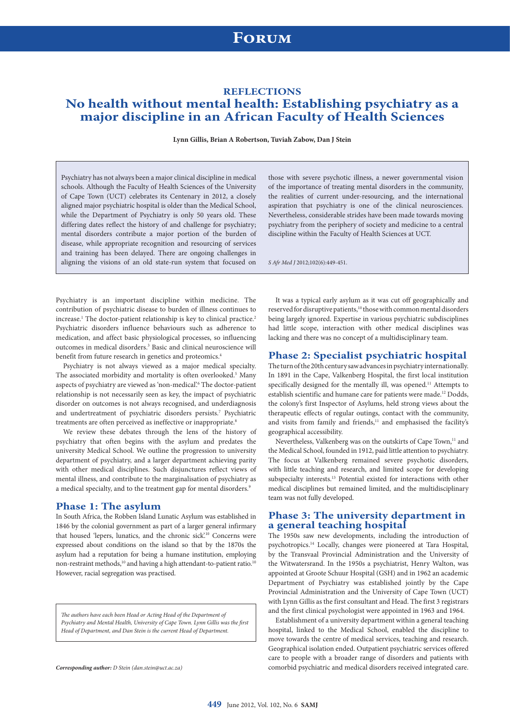# **Forum**

## **REFLECTIONS**

## **No health without mental health: Establishing psychiatry as a major discipline in an African Faculty of Health Sciences**

**Lynn Gillis, Brian A Robertson, Tuviah Zabow, Dan J Stein**

Psychiatry has not always been a major clinical discipline in medical schools. Although the Faculty of Health Sciences of the University of Cape Town (UCT) celebrates its Centenary in 2012, a closely aligned major psychiatric hospital is older than the Medical School, while the Department of Psychiatry is only 50 years old. These differing dates reflect the history of and challenge for psychiatry; mental disorders contribute a major portion of the burden of disease, while appropriate recognition and resourcing of services and training has been delayed. There are ongoing challenges in aligning the visions of an old state-run system that focused on

those with severe psychotic illness, a newer governmental vision of the importance of treating mental disorders in the community, the realities of current under-resourcing, and the international aspiration that psychiatry is one of the clinical neurosciences. Nevertheless, considerable strides have been made towards moving psychiatry from the periphery of society and medicine to a central discipline within the Faculty of Health Sciences at UCT.

*S Afr Med J* 2012;102(6):449-451.

Psychiatry is an important discipline within medicine. The contribution of psychiatric disease to burden of illness continues to increase.<sup>1</sup> The doctor-patient relationship is key to clinical practice.<sup>2</sup> Psychiatric disorders influence behaviours such as adherence to medication, and affect basic physiological processes, so influencing outcomes in medical disorders.3 Basic and clinical neuroscience will benefit from future research in genetics and proteomics.<sup>4</sup>

Psychiatry is not always viewed as a major medical specialty. The associated morbidity and mortality is often overlooked.<sup>5</sup> Many aspects of psychiatry are viewed as 'non-medical'.<sup>6</sup> The doctor-patient relationship is not necessarily seen as key, the impact of psychiatric disorder on outcomes is not always recognised, and underdiagnosis and undertreatment of psychiatric disorders persists.<sup>7</sup> Psychiatric treatments are often perceived as ineffective or inappropriate.<sup>8</sup>

We review these debates through the lens of the history of psychiatry that often begins with the asylum and predates the university Medical School. We outline the progression to university department of psychiatry, and a larger department achieving parity with other medical disciplines. Such disjunctures reflect views of mental illness, and contribute to the marginalisation of psychiatry as a medical specialty, and to the treatment gap for mental disorders.<sup>9</sup>

#### **Phase 1: The asylum**

In South Africa, the Robben Island Lunatic Asylum was established in 1846 by the colonial government as part of a larger general infirmary that housed 'lepers, lunatics, and the chronic sick'.<sup>10</sup> Concerns were expressed about conditions on the island so that by the 1870s the asylum had a reputation for being a humane institution, employing non-restraint methods,<sup>10</sup> and having a high attendant-to-patient ratio.<sup>10</sup> However, racial segregation was practised.

*The authors have each been Head or Acting Head of the Department of Psychiatry and Mental Health, University of Cape Town. Lynn Gillis was the first Head of Department, and Dan Stein is the current Head of Department.*

*Corresponding author: D Stein (dan.stein@uct.ac.za)* 

It was a typical early asylum as it was cut off geographically and reserved for disruptive patients,<sup>10</sup> those with common mental disorders being largely ignored. Expertise in various psychiatric subdisciplines had little scope, interaction with other medical disciplines was lacking and there was no concept of a multidisciplinary team.

#### **Phase 2: Specialist psychiatric hospital**

The turn of the 20th century saw advances in psychiatry internationally. In 1891 in the Cape, Valkenberg Hospital, the first local institution specifically designed for the mentally ill, was opened.<sup>11</sup> Attempts to establish scientific and humane care for patients were made.12 Dodds, the colony's first Inspector of Asylums, held strong views about the therapeutic effects of regular outings, contact with the community, and visits from family and friends,<sup>11</sup> and emphasised the facility's geographical accessibility.

Nevertheless, Valkenberg was on the outskirts of Cape Town,<sup>11</sup> and the Medical School, founded in 1912, paid little attention to psychiatry. The focus at Valkenberg remained severe psychotic disorders, with little teaching and research, and limited scope for developing subspecialty interests.13 Potential existed for interactions with other medical disciplines but remained limited, and the multidisciplinary team was not fully developed.

### **Phase 3: The university department in a general teaching hospital**

The 1950s saw new developments, including the introduction of psychotropics.14 Locally, changes were pioneered at Tara Hospital, by the Transvaal Provincial Administration and the University of the Witwatersrand. In the 1950s a psychiatrist, Henry Walton, was appointed at Groote Schuur Hospital (GSH) and in 1962 an academic Department of Psychiatry was established jointly by the Cape Provincial Administration and the University of Cape Town (UCT) with Lynn Gillis as the first consultant and Head. The first 3 registrars and the first clinical psychologist were appointed in 1963 and 1964.

Establishment of a university department within a general teaching hospital, linked to the Medical School, enabled the discipline to move towards the centre of medical services, teaching and research. Geographical isolation ended. Outpatient psychiatric services offered care to people with a broader range of disorders and patients with comorbid psychiatric and medical disorders received integrated care.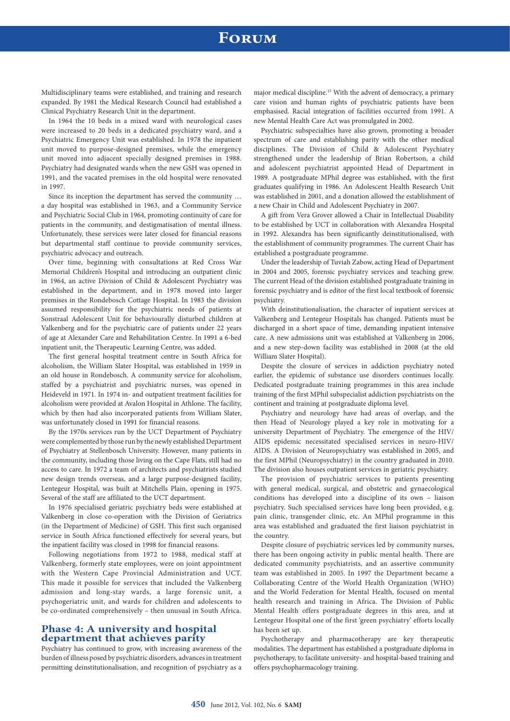# **Forum**

Multidisciplinary teams were established, and training and research expanded. By 1981 the Medical Research Council had established a Clinical Psychiatry Research Unit in the department.

In 1964 the 10 beds in a mixed ward with neurological cases were increased to 20 beds in a dedicated psychiatry ward, and a Psychiatric Emergency Unit was established. In 1978 the inpatient unit moved to purpose-designed premises, while the emergency unit moved into adjacent specially designed premises in 1988. Psychiatry had designated wards when the new GSH was opened in 1991, and the vacated premises in the old hospital were renovated in 1997.

Since its inception the department has served the community … a day hospital was established in 1963, and a Community Service and Psychiatric Social Club in 1964, promoting continuity of care for patients in the community, and destigmatisation of mental illness. Unfortunately, these services were later closed for financial reasons but departmental staff continue to provide community services, psychiatric advocacy and outreach.

Over time, beginning with consultations at Red Cross War Memorial Children's Hospital and introducing an outpatient clinic in 1964, an active Division of Child & Adolescent Psychiatry was established in the department, and in 1978 moved into larger premises in the Rondebosch Cottage Hospital. In 1983 the division assumed responsibility for the psychiatric needs of patients at Sonstraal Adolescent Unit for behaviourally disturbed children at Valkenberg and for the psychiatric care of patients under 22 years of age at Alexander Care and Rehabilitation Centre. In 1991 a 6-bed inpatient unit, the Therapeutic Learning Centre, was added.

The first general hospital treatment centre in South Africa for alcoholism, the William Slater Hospital, was established in 1959 in an old house in Rondebosch. A community service for alcoholism, staffed by a psychiatrist and psychiatric nurses, was opened in Heideveld in 1971. In 1974 in- and outpatient treatment facilities for alcoholism were provided at Avalon Hospital in Athlone. The facility, which by then had also incorporated patients from William Slater, was unfortunately closed in 1991 for financial reasons.

By the 1970s services run by the UCT Department of Psychiatry were complemented by those run by the newly established Department of Psychiatry at Stellenbosch University. However, many patients in the community, including those living on the Cape Flats, still had no access to care. In 1972 a team of architects and psychiatrists studied new design trends overseas, and a large purpose-designed facility, Lentegeur Hospital, was built at Mitchells Plain, opening in 1975. Several of the staff are affiliated to the UCT department.

In 1976 specialised geriatric psychiatry beds were established at Valkenberg in close co-operation with the Division of Geriatrics (in the Department of Medicine) of GSH. This first such organised service in South Africa functioned effectively for several years, but the inpatient facility was closed in 1998 for financial reasons.

Following negotiations from 1972 to 1988, medical staff at Valkenberg, formerly state employees, were on joint appointment with the Western Cape Provincial Administration and UCT. This made it possible for services that included the Valkenberg admission and long-stay wards, a large forensic unit, a psychogeriatric unit, and wards for children and adolescents to be co-ordinated comprehensively – then unusual in South Africa.

### **Phase 4: A university and hospital department that achieves parity**

Psychiatry has continued to grow, with increasing awareness of the burden of illness posed by psychiatric disorders, advances in treatment permitting deinstitutionalisation, and recognition of psychiatry as a

major medical discipline.15 With the advent of democracy, a primary care vision and human rights of psychiatric patients have been emphasised. Racial integration of facilities occurred from 1991. A new Mental Health Care Act was promulgated in 2002.

Psychiatric subspecialties have also grown, promoting a broader spectrum of care and establishing parity with the other medical disciplines. The Division of Child & Adolescent Psychiatry strengthened under the leadership of Brian Robertson, a child and adolescent psychiatrist appointed Head of Department in 1989. A postgraduate MPhil degree was established, with the first graduates qualifying in 1986. An Adolescent Health Research Unit was established in 2001, and a donation allowed the establishment of a new Chair in Child and Adolescent Psychiatry in 2007.

A gift from Vera Grover allowed a Chair in Intellectual Disability to be established by UCT in collaboration with Alexandra Hospital in 1992. Alexandra has been significantly deinstitutionalised, with the establishment of community programmes. The current Chair has established a postgraduate programme.

Under the leadership of Tuviah Zabow, acting Head of Department in 2004 and 2005, forensic psychiatry services and teaching grew. The current Head of the division established postgraduate training in forensic psychiatry and is editor of the first local textbook of forensic psychiatry.

With deinstitutionalisation, the character of inpatient services at Valkenberg and Lentegeur Hospitals has changed. Patients must be discharged in a short space of time, demanding inpatient intensive care. A new admissions unit was established at Valkenberg in 2006, and a new step-down facility was established in 2008 (at the old William Slater Hospital).

Despite the closure of services in addiction psychiatry noted earlier, the epidemic of substance use disorders continues locally. Dedicated postgraduate training programmes in this area include training of the first MPhil subspecialist addiction psychiatrists on the continent and training at postgraduate diploma level.

Psychiatry and neurology have had areas of overlap, and the then Head of Neurology played a key role in motivating for a university Department of Psychiatry. The emergence of the HIV/ AIDS epidemic necessitated specialised services in neuro-HIV/ AIDS. A Division of Neuropsychiatry was established in 2005, and the first MPhil (Neuropsychiatry) in the country graduated in 2010. The division also houses outpatient services in geriatric psychiatry.

The provision of psychiatric services to patients presenting with general medical, surgical, and obstetric and gynaecological conditions has developed into a discipline of its own – liaison psychiatry. Such specialised services have long been provided, e.g. pain clinic, transgender clinic, etc. An MPhil programme in this area was established and graduated the first liaison psychiatrist in the country.

Despite closure of psychiatric services led by community nurses, there has been ongoing activity in public mental health. There are dedicated community psychiatrists, and an assertive community team was established in 2005. In 1997 the Department became a Collaborating Centre of the World Health Organization (WHO) and the World Federation for Mental Health, focused on mental health research and training in Africa. The Division of Public Mental Health offers postgraduate degrees in this area, and at Lentegeur Hospital one of the first 'green psychiatry' efforts locally has been set up.

Psychotherapy and pharmacotherapy are key therapeutic modalities. The department has established a postgraduate diploma in psychotherapy, to facilitate university- and hospital-based training and offers psychopharmacology training.